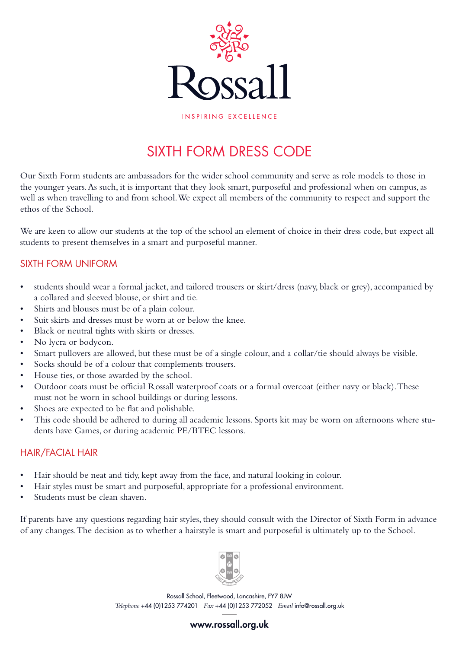

INSPIRING EXCELLENCE

## SIXTH FORM DRESS CODE

Our Sixth Form students are ambassadors for the wider school community and serve as role models to those in the younger years. As such, it is important that they look smart, purposeful and professional when on campus, as well as when travelling to and from school. We expect all members of the community to respect and support the ethos of the School.

We are keen to allow our students at the top of the school an element of choice in their dress code, but expect all students to present themselves in a smart and purposeful manner.

### SIXTH FORM UNIFORM

- students should wear a formal jacket, and tailored trousers or skirt/dress (navy, black or grey), accompanied by a collared and sleeved blouse, or shirt and tie.
- Shirts and blouses must be of a plain colour.
- Suit skirts and dresses must be worn at or below the knee.
- Black or neutral tights with skirts or dresses.
- No lycra or bodycon.
- Smart pullovers are allowed, but these must be of a single colour, and a collar/tie should always be visible.
- Socks should be of a colour that complements trousers.
- House ties, or those awarded by the school.
- Outdoor coats must be official Rossall waterproof coats or a formal overcoat (either navy or black). These must not be worn in school buildings or during lessons.
- Shoes are expected to be flat and polishable.
- This code should be adhered to during all academic lessons. Sports kit may be worn on afternoons where students have Games, or during academic PE/BTEC lessons.

#### HAIR/FACIAL HAIR

- Hair should be neat and tidy, kept away from the face, and natural looking in colour.
- Hair styles must be smart and purposeful, appropriate for a professional environment.
- Students must be clean shaven.

If parents have any questions regarding hair styles, they should consult with the Director of Sixth Form in advance of any changes. The decision as to whether a hairstyle is smart and purposeful is ultimately up to the School.



Rossall School, Fleetwood, Lancashire, FY7 8JW *Telephone* +44 (0)1253 774201 *Fax* +44 (0)1253 772052 *Email* info@rossall.org.uk

www.rossall.org.uk